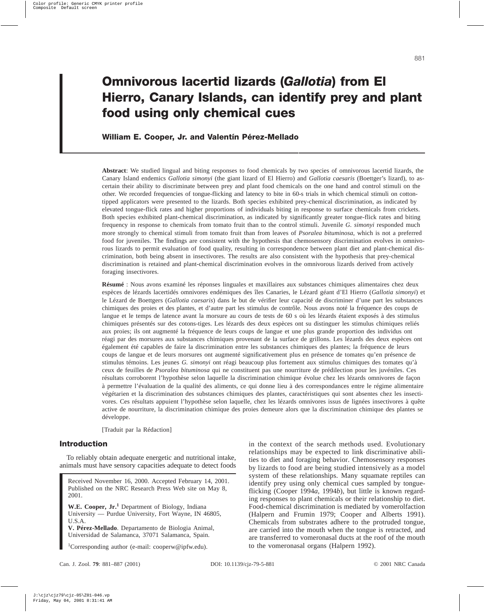# **Omnivorous lacertid lizards (***Gallotia***) from El Hierro, Canary Islands, can identify prey and plant food using only chemical cues**

# **William E. Cooper, Jr. and Valentín Pérez-Mellado**

**Abstract**: We studied lingual and biting responses to food chemicals by two species of omnivorous lacertid lizards, the Canary Island endemics *Gallotia simonyi* (the giant lizard of El Hierro) and *Gallotia caesaris* (Boettger's lizard), to ascertain their ability to discriminate between prey and plant food chemicals on the one hand and control stimuli on the other. We recorded frequencies of tongue-flicking and latency to bite in 60-s trials in which chemical stimuli on cottontipped applicators were presented to the lizards. Both species exhibited prey-chemical discrimination, as indicated by elevated tongue-flick rates and higher proportions of individuals biting in response to surface chemicals from crickets. Both species exhibited plant-chemical discrimination, as indicated by significantly greater tongue-flick rates and biting frequency in response to chemicals from tomato fruit than to the control stimuli. Juvenile *G. simonyi* responded much more strongly to chemical stimuli from tomato fruit than from leaves of *Psoralea bituminosa*, which is not a preferred food for juveniles. The findings are consistent with the hypothesis that chemosensory discrimination evolves in omnivorous lizards to permit evaluation of food quality, resulting in correspondence between plant diet and plant-chemical discrimination, both being absent in insectivores. The results are also consistent with the hypothesis that prey-chemical discrimination is retained and plant-chemical discrimination evolves in the omnivorous lizards derived from actively foraging insectivores.

**Résumé** : Nous avons examiné les réponses linguales et maxillaires aux substances chimiques alimentaires chez deux espèces de lézards lacertidés omnivores endémiques des îles Canaries, le Lézard géant d'El Hierro (*Gallotia simonyi*) et le Lézard de Boettgers (*Gallotia caesaris*) dans le but de vérifier leur capacité de discriminer d'une part les substances chimiques des proies et des plantes, et d'autre part les stimulus de contrôle. Nous avons noté la fréquence des coups de langue et le temps de latence avant la morsure au cours de tests de 60 s où les lézards étaient exposés à des stimulus chimiques présentés sur des cotons-tiges. Les lézards des deux espèces ont su distinguer les stimulus chimiques reliés aux proies; ils ont augmenté la fréquence de leurs coups de langue et une plus grande proportion des individus ont réagi par des morsures aux substances chimiques provenant de la surface de grillons. Les lézards des deux espèces ont également été capables de faire la discrimination entre les substances chimiques des plantes; la fréquence de leurs coups de langue et de leurs morsures ont augmenté significativement plus en présence de tomates qu'en présence de stimulus témoins. Les jeunes *G. simonyi* ont réagi beaucoup plus fortement aux stimulus chimiques des tomates qu'à ceux de feuilles de *Psoralea bituminosa* qui ne constituent pas une nourriture de prédilection pour les juvéniles. Ces résultats corroborent l'hypothèse selon laquelle la discrimination chimique évolue chez les lézards omnivores de façon à permettre l'évaluation de la qualité des aliments, ce qui donne lieu à des correspondances entre le régime alimentaire végétarien et la discrimination des substances chimiques des plantes, caractéristiques qui sont absentes chez les insectivores. Ces résultats appuient l'hypothèse selon laquelle, chez les lézards omnivores issus de lignées insectivores à quête active de nourriture, la discrimination chimique des proies demeure alors que la discrimination chimique des plantes se développe.

[Traduit par la Rédaction]

## **Introduction**

To reliably obtain adequate energetic and nutritional intake, animals must have sensory capacities adequate to detect foods

Received November 16, 2000. Accepted February 14, 2001. Published on the NRC Research Press Web site on May 8, 2001.

**W.E. Cooper, Jr.<sup>1</sup>** Department of Biology, Indiana University — Purdue University, Fort Wayne, IN 46805, U.S.A.

**V. Pérez-Mellado**. Departamento de Biologia Animal, Universidad de Salamanca, 37071 Salamanca, Spain.

<sup>1</sup>Corresponding author (e-mail: cooperw@ipfw.edu).

in the context of the search methods used. Evolutionary relationships may be expected to link discriminative abilities to diet and foraging behavior. Chemosensory responses by lizards to food are being studied intensively as a model system of these relationships. Many squamate reptiles can identify prey using only chemical cues sampled by tongueflicking (Cooper 1994*a*, 1994*b*), but little is known regarding responses to plant chemicals or their relationship to diet. Food-chemical discrimination is mediated by vomerolfaction (Halpern and Frumin 1979; Cooper and Alberts 1991). Chemicals from substrates adhere to the protruded tongue, are carried into the mouth when the tongue is retracted, and are transferred to vomeronasal ducts at the roof of the mouth to the vomeronasal organs (Halpern 1992).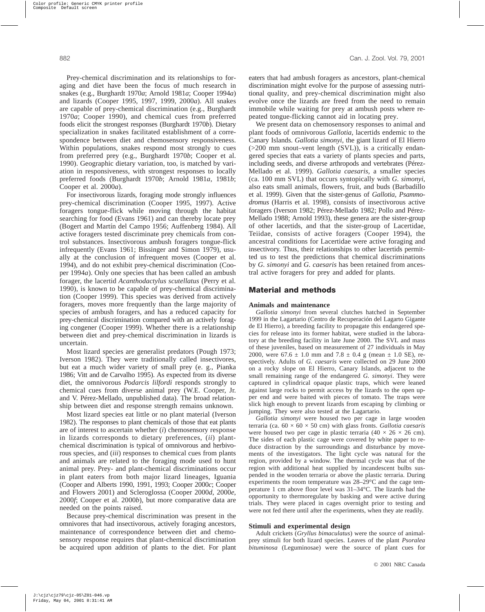Prey-chemical discrimination and its relationships to foraging and diet have been the focus of much research in snakes (e.g., Burghardt 1970*a*; Arnold 1981*a*; Cooper 1994*a*) and lizards (Cooper 1995, 1997, 1999, 2000*a*). All snakes are capable of prey-chemical discrimination (e.g., Burghardt 1970*a*; Cooper 1990), and chemical cues from preferred foods elicit the strongest responses (Burghardt 1970*b*). Dietary specialization in snakes facilitated establishment of a correspondence between diet and chemosensory responsiveness. Within populations, snakes respond most strongly to cues from preferred prey (e.g., Burghardt 1970*b*; Cooper et al. 1990). Geographic dietary variation, too, is matched by variation in responsiveness, with strongest responses to locally preferred foods (Burghardt 1970*b*; Arnold 1981*a*, 1981*b*; Cooper et al. 2000*a*).

For insectivorous lizards, foraging mode strongly influences prey-chemical discrimination (Cooper 1995, 1997). Active foragers tongue-flick while moving through the habitat searching for food (Evans 1961) and can thereby locate prey (Bogert and Martín del Campo 1956; Auffenberg 1984). All active foragers tested discriminate prey chemicals from control substances. Insectivorous ambush foragers tongue-flick infrequently (Evans 1961; Bissinger and Simon 1979), usually at the conclusion of infrequent moves (Cooper et al. 1994), and do not exhibit prey-chemical discrimination (Cooper 1994*a*). Only one species that has been called an ambush forager, the lacertid *Acanthodactylus scutellatus* (Perry et al. 1990), is known to be capable of prey-chemical discrimination (Cooper 1999). This species was derived from actively foragers, moves more frequently than the large majority of species of ambush foragers, and has a reduced capacity for prey-chemical discrimination compared with an actively foraging congener (Cooper 1999). Whether there is a relationship between diet and prey-chemical discrimination in lizards is uncertain.

Most lizard species are generalist predators (Pough 1973; Iverson 1982). They were traditionally called insectivores, but eat a much wider variety of small prey (e. g., Pianka 1986; Vitt and de Carvalho 1995). As expected from its diverse diet, the omnivorous *Podarcis lilfordi* responds strongly to chemical cues from diverse animal prey (W.E. Cooper, Jr. and V. Pérez-Mellado, unpublished data). The broad relationship between diet and response strength remains unknown.

Most lizard species eat little or no plant material (Iverson 1982). The responses to plant chemicals of those that eat plants are of interest to ascertain whether (*i*) chemosensory response in lizards corresponds to dietary preferences, (*ii*) plantchemical discrimination is typical of omnivorous and herbivorous species, and (*iii*) responses to chemical cues from plants and animals are related to the foraging mode used to hunt animal prey. Prey- and plant-chemical discriminations occur in plant eaters from both major lizard lineages, Iguania (Cooper and Alberts 1990, 1991, 1993; Cooper 2000*c*; Cooper and Flowers 2001) and Scleroglossa (Cooper 2000*d*, 2000*e*, 2000*f*; Cooper et al. 2000*b*), but more comparative data are needed on the points raised.

Because prey-chemical discrimination was present in the omnivores that had insectivorous, actively foraging ancestors, maintenance of correspondence between diet and chemosensory response requires that plant-chemical discrimination be acquired upon addition of plants to the diet. For plant eaters that had ambush foragers as ancestors, plant-chemical discrimination might evolve for the purpose of assessing nutritional quality, and prey-chemical discrimination might also evolve once the lizards are freed from the need to remain immobile while waiting for prey at ambush posts where repeated tongue-flicking cannot aid in locating prey.

We present data on chemosensory responses to animal and plant foods of omnivorous *Gallotia*, lacertids endemic to the Canary Islands. *Gallotia simonyi*, the giant lizard of El Hierro (>200 mm snout–vent length (SVL)), is a critically endangered species that eats a variety of plants species and parts, including seeds, and diverse arthropods and vertebrates (Pérez-Mellado et al. 1999). *Gallotia caesaris*, a smaller species (ca. 100 mm SVL) that occurs syntopically with *G. simonyi*, also eats small animals, flowers, fruit, and buds (Barbadillo et al. 1999). Given that the sister-genus of *Gallotia, Psammodromus* (Harris et al. 1998), consists of insectivorous active foragers (Iverson 1982; Pérez-Mellado 1982; Pollo and Pérez-Mellado 1988; Arnold 1993), these genera are the sister-group of other lacertids, and that the sister-group of Lacertidae, Teiidae, consists of active foragers (Cooper 1994), the ancestral conditions for Lacertidae were active foraging and insectivory. Thus, their relationships to other lacertids permitted us to test the predictions that chemical discriminations by *G. simonyi* and *G. caesaris* has been retained from ancestral active foragers for prey and added for plants.

## **Material and methods**

#### **Animals and maintenance**

*Gallotia simonyi* from several clutches hatched in September 1999 in the Lagartario (Centro de Recuperación del Lagarto Gigante de El Hierro), a breeding facility to propagate this endangered species for release into its former habitat, were studied in the laboratory at the breeding facility in late June 2000. The SVL and mass of these juveniles, based on measurement of 27 individuals in May 2000, were  $67.6 \pm 1.0$  mm and  $7.8 \pm 0.4$  g (mean  $\pm 1.0$  SE), respectively. Adults of *G. caesaris* were collected on 29 June 2000 on a rocky slope on El Hierro, Canary Islands, adjacent to the small remaining range of the endangered *G. simonyi*. They were captured in cylindrical opaque plastic traps, which were leaned against large rocks to permit access by the lizards to the open upper end and were baited with pieces of tomato. The traps were slick high enough to prevent lizards from escaping by climbing or jumping. They were also tested at the Lagartario.

*Gallotia simonyi* were housed two per cage in large wooden terraria (ca.  $60 \times 60 \times 50$  cm) with glass fronts. *Gallotia caesaris* were housed two per cage in plastic terraria  $(40 \times 26 \times 26$  cm). The sides of each plastic cage were covered by white paper to reduce distraction by the surroundings and disturbance by movements of the investigators. The light cycle was natural for the region, provided by a window. The thermal cycle was that of the region with additional heat supplied by incandescent bulbs suspended in the wooden terraria or above the plastic terraria. During experiments the room temperature was 28–29°C and the cage temperature 1 cm above floor level was 31–34°C. The lizards had the opportunity to thermoregulate by basking and were active during trials. They were placed in cages overnight prior to testing and were not fed there until after the experiments, when they ate readily.

#### **Stimuli and experimental design**

Adult crickets (*Gryllus bimaculatus*) were the source of animalprey stimuli for both lizard species. Leaves of the plant *Psoralea bituminosa* (Leguminosae) were the source of plant cues for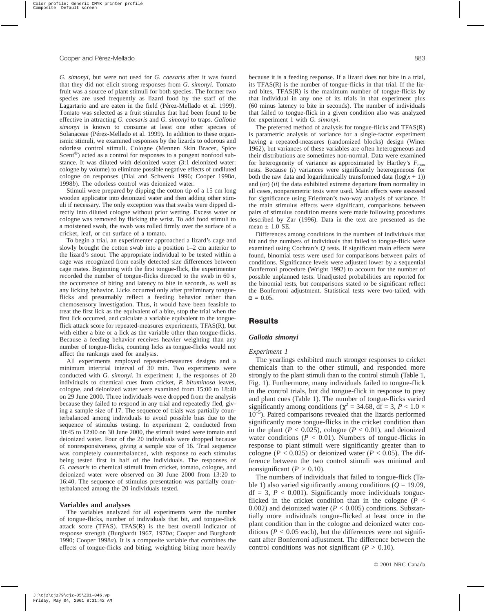*G. simonyi*, but were not used for *G. caesaris* after it was found that they did not elicit strong responses from *G. simonyi*. Tomato fruit was a source of plant stimuli for both species. The former two species are used frequently as lizard food by the staff of the Lagartario and are eaten in the field (Pérez-Mellado et al. 1999). Tomato was selected as a fruit stimulus that had been found to be effective in attracting *G. caesaris* and *G. simonyi* to traps. *Gallotia simonyi* is known to consume at least one other species of Solanaceae (Pérez-Mellado et al. 1999). In addition to these organismic stimuli, we examined responses by the lizards to odorous and odorless control stimuli. Cologne (Mennen Skin Bracer, Spice Scent<sup>®</sup>) acted as a control for responses to a pungent nonfood substance. It was diluted with deionized water (3:1 deionized water: cologne by volume) to eliminate possible negative effects of undiluted cologne on responses (Dial and Schwenk 1996; Cooper 1998*a*, 1998*b*). The odorless control was deionized water.

Stimuli were prepared by dipping the cotton tip of a 15 cm long wooden applicator into deionized water and then adding other stimuli if necessary. The only exception was that swabs were dipped directly into diluted cologne without prior wetting. Excess water or cologne was removed by flicking the wrist. To add food stimuli to a moistened swab, the swab was rolled firmly over the surface of a cricket, leaf, or cut surface of a tomato.

To begin a trial, an experimenter approached a lizard's cage and slowly brought the cotton swab into a position 1–2 cm anterior to the lizard's snout. The appropriate individual to be tested within a cage was recognized from easily detected size differences between cage mates. Beginning with the first tongue-flick, the experimenter recorded the number of tongue-flicks directed to the swab in 60 s, the occurrence of biting and latency to bite in seconds, as well as any licking behavior. Licks occurred only after preliminary tongueflicks and presumably reflect a feeding behavior rather than chemosensory investigation. Thus, it would have been feasible to treat the first lick as the equivalent of a bite, stop the trial when the first lick occurred, and calculate a variable equivalent to the tongueflick attack score for repeated-measures experiments, TFAS(R), but with either a bite or a lick as the variable other than tongue-flicks. Because a feeding behavior receives heavier weighting than any number of tongue-flicks, counting licks as tongue-flicks would not affect the rankings used for analysis.

All experiments employed repeated-measures designs and a minimum intertrial interval of 30 min. Two experiments were conducted with *G. simonyi*. In experiment 1, the responses of 20 individuals to chemical cues from cricket, *P. bituminosa* leaves, cologne, and deionized water were examined from 15:00 to 18:40 on 29 June 2000. Three individuals were dropped from the analysis because they failed to respond in any trial and repeatedly fled, giving a sample size of 17. The sequence of trials was partially counterbalanced among individuals to avoid possible bias due to the sequence of stimulus testing. In experiment 2, conducted from 10:45 to 12:00 on 30 June 2000, the stimuli tested were tomato and deionized water. Four of the 20 individuals were dropped because of nonresponsiveness, giving a sample size of 16. Trial sequence was completely counterbalanced, with response to each stimulus being tested first in half of the individuals. The responses of *G. caesaris* to chemical stimuli from cricket, tomato, cologne, and deionized water were observed on 30 June 2000 from 13:20 to 16:40. The sequence of stimulus presentation was partially counterbalanced among the 20 individuals tested.

#### **Variables and analyses**

The variables analyzed for all experiments were the number of tongue-flicks, number of individuals that bit, and tongue-flick attack score (TFAS). TFAS(R) is the best overall indicator of response strength (Burghardt 1967, 1970*a*; Cooper and Burghardt 1990; Cooper 1998*a*). It is a composite variable that combines the effects of tongue-flicks and biting, weighting biting more heavily because it is a feeding response. If a lizard does not bite in a trial, its TFAS(R) is the number of tongue-flicks in that trial. If the lizard bites, TFAS(R) is the maximum number of tongue-flicks by that individual in any one of its trials in that experiment plus (60 minus latency to bite in seconds). The number of individuals that failed to tongue-flick in a given condition also was analyzed for experiment 1 with *G. simonyi*.

The preferred method of analysis for tongue-flicks and TFAS(R) is parametric analysis of variance for a single-factor experiment having a repeated-measures (randomized blocks) design (Winer 1962), but variances of these variables are often heterogeneous and their distributions are sometimes non-normal. Data were examined for heterogeneity of variance as approximated by Hartley's  $F_{\text{max}}$ tests. Because (*i*) variances were significantly heterogeneous for both the raw data and logarithmically transformed data  $(\log(x + 1))$ and (or) (*ii*) the data exhibited extreme departure from normality in all cases, nonparametric tests were used. Main effects were assessed for significance using Friedman's two-way analysis of variance. If the main stimulus effects were significant, comparisons between pairs of stimulus condition means were made following procedures described by Zar (1996). Data in the text are presented as the mean  $\pm$  1.0 SE.

Differences among conditions in the numbers of individuals that bit and the numbers of individuals that failed to tongue-flick were examined using Cochran's *Q* tests. If significant main effects were found, binomial tests were used for comparisons between pairs of conditions. Significance levels were adjusted lower by a sequential Bonferroni procedure (Wright 1992) to account for the number of possible unplanned tests. Unadjusted probabilities are reported for the binomial tests, but comparisons stated to be significant reflect the Bonferroni adjustment. Statistical tests were two-tailed, with  $\alpha = 0.05$ .

## **Results**

#### *Gallotia simonyi*

#### *Experiment 1*

The yearlings exhibited much stronger responses to cricket chemicals than to the other stimuli, and responded more strongly to the plant stimuli than to the control stimuli (Table 1, Fig. 1). Furthermore, many individuals failed to tongue-flick in the control trials, but did tongue-flick in response to prey and plant cues (Table 1). The number of tongue-flicks varied significantly among conditions ( $\chi^2$  = 34.68, df = 3, *P* < 1.0 ×  $10^{-5}$ ). Paired comparisons revealed that the lizards performed significantly more tongue-flicks in the cricket condition than in the plant ( $P < 0.025$ ), cologne ( $P < 0.01$ ), and deionized water conditions ( $P < 0.01$ ). Numbers of tongue-flicks in response to plant stimuli were significantly greater than to cologne ( $P < 0.025$ ) or deionized water ( $P < 0.05$ ). The difference between the two control stimuli was minimal and nonsignificant ( $P > 0.10$ ).

The numbers of individuals that failed to tongue-flick (Table 1) also varied significantly among conditions ( $Q = 19.09$ ,  $df = 3$ ,  $P < 0.001$ ). Significantly more individuals tongueflicked in the cricket condition than in the cologne  $(P \leq$ 0.002) and deionized water  $(P < 0.005)$  conditions. Substantially more individuals tongue-flicked at least once in the plant condition than in the cologne and deionized water conditions ( $P < 0.05$  each), but the differences were not significant after Bonferroni adjustment. The difference between the control conditions was not significant ( $P > 0.10$ ).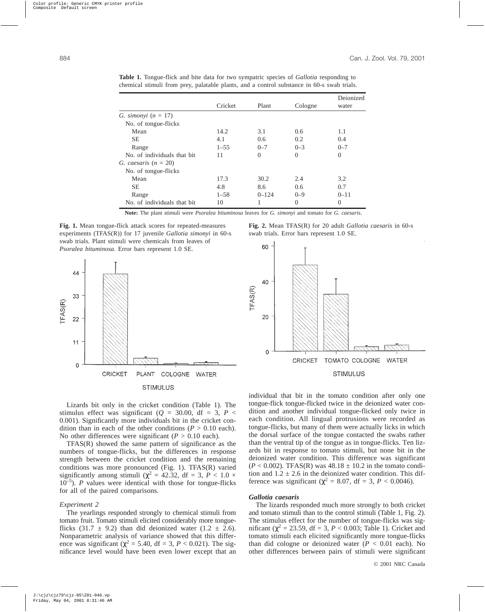|                              |          |           |          | Deionized      |
|------------------------------|----------|-----------|----------|----------------|
|                              | Cricket  | Plant     | Cologne  | water          |
| G. simonyi $(n = 17)$        |          |           |          |                |
| No. of tongue-flicks         |          |           |          |                |
| Mean                         | 14.2     | 3.1       | 0.6      | 1.1            |
| <b>SE</b>                    | 4.1      | 0.6       | 0.2      | 0.4            |
| Range                        | $1 - 55$ | $0 - 7$   | $0 - 3$  | $0 - 7$        |
| No. of individuals that bit. | 11       | $\Omega$  | $\Omega$ | $\theta$       |
| G. caesaris $(n = 20)$       |          |           |          |                |
| No. of tongue-flicks         |          |           |          |                |
| Mean                         | 17.3     | 30.2      | 2.4      | 3.2            |
| <b>SE</b>                    | 4.8      | 8.6       | 0.6      | 0.7            |
| Range                        | $1 - 58$ | $0 - 124$ | $0 - 9$  | $0 - 11$       |
| No. of individuals that bit  | 10       |           | $\theta$ | $\overline{0}$ |

**Table 1.** Tongue-flick and bite data for two sympatric species of *Gallotia* responding to chemical stimuli from prey, palatable plants, and a control substance in 60-s swab trials.

**Note:** The plant stimuli were *Psoralea bituminosa* leaves for *G. simonyi* and tomato for *G. caesaris*.

**Fig. 1.** Mean tongue-flick attack scores for repeated-measures experiments (TFAS(R)) for 17 juvenile *Gallotia simonyi* in 60-s swab trials. Plant stimuli were chemicals from leaves of *Psoralea bituminosa*. Error bars represent 1.0 SE.







Lizards bit only in the cricket condition (Table 1). The

stimulus effect was significant ( $Q = 30.00$ , df = 3,  $P <$ 0.001). Significantly more individuals bit in the cricket condition than in each of the other conditions  $(P > 0.10 \text{ each})$ . No other differences were significant  $(P > 0.10$  each).

TFAS(R) showed the same pattern of significance as the numbers of tongue-flicks, but the differences in response strength between the cricket condition and the remaining conditions was more pronounced (Fig. 1). TFAS(R) varied significantly among stimuli ( $\chi^2$  = 42.32, df = 3, P < 1.0  $\times$  $10^{-5}$ ). *P* values were identical with those for tongue-flicks

The yearlings responded strongly to chemical stimuli from tomato fruit. Tomato stimuli elicited considerably more tongueflicks  $(31.7 \pm 9.2)$  than did deionized water  $(1.2 \pm 2.6)$ . Nonparametric analysis of variance showed that this difference was significant ( $\chi^2$  = 5.40, df = 3, *P* < 0.021). The significance level would have been even lower except that an

for all of the paired comparisons.

*Experiment 2*

individual that bit in the tomato condition after only one tongue-flick tongue-flicked twice in the deionized water condition and another individual tongue-flicked only twice in each condition. All lingual protrusions were recorded as tongue-flicks, but many of them were actually licks in which the dorsal surface of the tongue contacted the swabs rather than the ventral tip of the tongue as in tongue-flicks. Ten lizards bit in response to tomato stimuli, but none bit in the deionized water condition. This difference was significant  $(P < 0.002)$ . TFAS(R) was  $48.18 \pm 10.2$  in the tomato condition and  $1.2 \pm 2.6$  in the deionized water condition. This difference was significant ( $\chi^2 = 8.07$ , df = 3, *P* < 0.0046).

#### *Gallotia caesaris*

The lizards responded much more strongly to both cricket and tomato stimuli than to the control stimuli (Table 1, Fig. 2). The stimulus effect for the number of tongue-flicks was significant ( $\chi^2$  = 23.59, df = 3, *P* < 0.003; Table 1). Cricket and tomato stimuli each elicited significantly more tongue-flicks than did cologne or deionized water  $(P < 0.01$  each). No other differences between pairs of stimuli were significant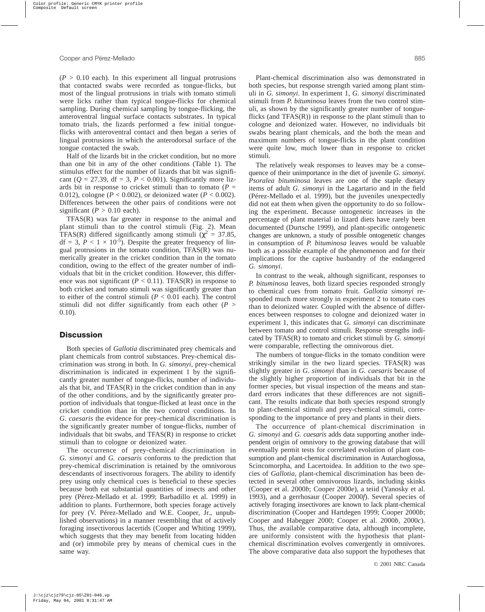$(P > 0.10$  each). In this experiment all lingual protrusions that contacted swabs were recorded as tongue-flicks, but most of the lingual protrusions in trials with tomato stimuli were licks rather than typical tongue-flicks for chemical sampling. During chemical sampling by tongue-flicking, the anteroventral lingual surface contacts substrates. In typical tomato trials, the lizards performed a few initial tongueflicks with anteroventral contact and then began a series of lingual protrusions in which the anterodorsal surface of the tongue contacted the swab.

Half of the lizards bit in the cricket condition, but no more than one bit in any of the other conditions (Table 1). The stimulus effect for the number of lizards that bit was significant ( $Q = 27.39$ , df = 3,  $P < 0.001$ ). Significantly more lizards bit in response to cricket stimuli than to tomato  $(P =$ 0.012), cologne (*P* < 0.002), or deionized water (*P* < 0.002). Differences between the other pairs of conditions were not significant ( $P > 0.10$  each).

TFAS(R) was far greater in response to the animal and plant stimuli than to the control stimuli (Fig. 2). Mean TFAS(R) differed significantly among stimuli ( $\chi^2$  = 37.85,  $df = 3$ ,  $P < 1 \times 10^{-5}$ ). Despite the greater frequency of lingual protrusions in the tomato condition, TFAS(R) was numerically greater in the cricket condition than in the tomato condition, owing to the effect of the greater number of individuals that bit in the cricket condition. However, this difference was not significant ( $P < 0.11$ ). TFAS(R) in response to both cricket and tomato stimuli was significantly greater than to either of the control stimuli ( $P < 0.01$  each). The control stimuli did not differ significantly from each other (*P* > 0.10).

### **Discussion**

Both species of *Gallotia* discriminated prey chemicals and plant chemicals from control substances. Prey-chemical discrimination was strong in both. In *G. simonyi*, prey-chemical discrimination is indicated in experiment 1 by the significantly greater number of tongue-flicks, number of individuals that bit, and TFAS(R) in the cricket condition than in any of the other conditions, and by the significantly greater proportion of individuals that tongue-flicked at least once in the cricket condition than in the two control conditions. In *G. caesaris* the evidence for prey-chemical discrimination is the significantly greater number of tongue-flicks, number of individuals that bit swabs, and TFAS(R) in response to cricket stimuli than to cologne or deionized water.

The occurrence of prey-chemical discrimination in *G. simonyi* and *G. caesaris* conforms to the prediction that prey-chemical discrimination is retained by the omnivorous descendants of insectivorous foragers. The ability to identify prey using only chemical cues is beneficial to these species because both eat substantial quantities of insects and other prey (Pérez-Mellado et al. 1999; Barbadillo et al. 1999) in addition to plants. Furthermore, both species forage actively for prey (V. Pérez-Mellado and W.E. Cooper, Jr., unpublished observations) in a manner resembling that of actively foraging insectivorous lacertids (Cooper and Whiting 1999), which suggests that they may benefit from locating hidden and (or) immobile prey by means of chemical cues in the same way.

Plant-chemical discrimination also was demonstrated in both species, but response strength varied among plant stimuli in *G. simonyi*. In experiment 1, *G. simonyi* discriminated stimuli from *P. bituminosa* leaves from the two control stimuli, as shown by the significantly greater number of tongueflicks (and  $TFAS(R)$ ) in response to the plant stimuli than to cologne and deionized water. However, no individuals bit swabs bearing plant chemicals, and the both the mean and maximum numbers of tongue-flicks in the plant condition were quite low, much lower than in response to cricket stimuli.

The relatively weak responses to leaves may be a consequence of their unimportance in the diet of juvenile *G. simonyi*. *Psoralea bituminosa* leaves are one of the staple dietary items of adult *G. simonyi* in the Lagartario and in the field (Pérez-Mellado et al. 1999), but the juveniles unexpectedly did not eat them when given the opportunity to do so following the experiment. Because ontogenetic increases in the percentage of plant material in lizard diets have rarely been documented (Durtsche 1999), and plant-specific ontogenetic changes are unknown, a study of possible ontogenetic changes in consumption of *P. bituminosa* leaves would be valuable both as a possible example of the phenomenon and for their implications for the captive husbandry of the endangered *G. simonyi*.

In contrast to the weak, although significant, responses to *P. bituminosa* leaves, both lizard species responded strongly to chemical cues from tomato fruit. *Gallotia simonyi* responded much more strongly in experiment 2 to tomato cues than to deionized water. Coupled with the absence of differences between responses to cologne and deionized water in experiment 1, this indicates that *G. simonyi* can discriminate between tomato and control stimuli. Response strengths indicated by TFAS(R) to tomato and cricket stimuli by *G. simonyi* were comparable, reflecting the omnivorous diet.

The numbers of tongue-flicks in the tomato condition were strikingly similar in the two lizard species. TFAS(R) was slightly greater in *G. simonyi* than in *G. caesaris* because of the slightly higher proportion of individuals that bit in the former species, but visual inspection of the means and standard errors indicates that these differences are not significant. The results indicate that both species respond strongly to plant-chemical stimuli and prey-chemical stimuli, corresponding to the importance of prey and plants in their diets.

The occurrence of plant-chemical discrimination in *G. simonyi* and *G. caesaris* adds data supporting another independent origin of omnivory to the growing database that will eventually permit tests for correlated evolution of plant consumption and plant-chemical discrimination in Autarchoglossa, Scincomorpha, and Lacertoidea. In addition to the two species of *Gallotia*, plant-chemical discrimination has been detected in several other omnivorous lizards, including skinks (Cooper et al. 2000*b*; Cooper 2000*e*), a teiid (Yanosky et al. 1993), and a gerrhosaur (Cooper 2000*f*). Several species of actively foraging insectivores are known to lack plant-chemical discrimination (Cooper and Hartdegen 1999; Cooper 2000*b*; Cooper and Habegger 2000; Cooper et al. 2000*b*, 2000*c*). Thus, the available comparative data, although incomplete, are uniformly consistent with the hypothesis that plantchemical discrimination evolves convergently in omnivores. The above comparative data also support the hypotheses that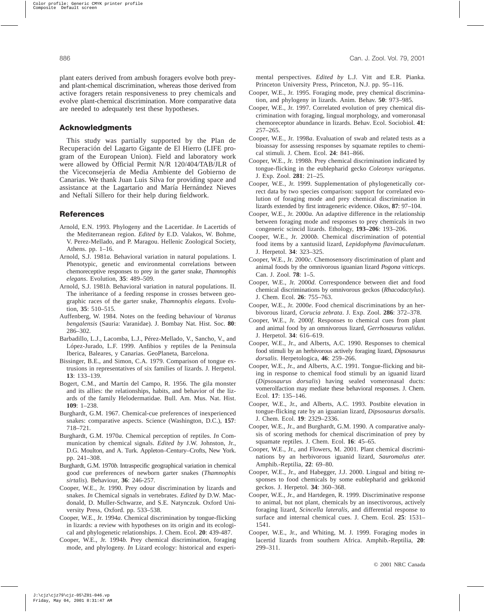plant eaters derived from ambush foragers evolve both preyand plant-chemical discrimination, whereas those derived from active foragers retain responsiveness to prey chemicals and evolve plant-chemical discrimination. More comparative data are needed to adequately test these hypotheses.

## **Acknowledgments**

This study was partially supported by the Plan de Recuperación del Lagarto Gigante de El Hierro (LIFE program of the European Union). Field and laboratory work were allowed by Official Permit N/R 120/404/TAB/JLR of the Viceconsejería de Media Ambiente del Gobierno de Canarias. We thank Juan Luis Silva for providing space and assistance at the Lagartario and María Hernández Nieves and Neftalí Sillero for their help during fieldwork.

## **References**

- Arnold, E.N. 1993. Phylogeny and the Lacertidae. *In* Lacertids of the Mediterranean region. *Edited by* E.D. Valakos, W. Bohme, V. Perez-Mellado, and P. Maragou. Hellenic Zoological Society, Athens. pp. 1–16.
- Arnold, S.J. 1981*a*. Behavioral variation in natural populations. I. Phenotypic, genetic and environmental correlations between chemoreceptive responses to prey in the garter snake, *Thamnophis elegans*. Evolution, **35**: 489–509.
- Arnold, S.J. 1981*b*. Behavioral variation in natural populations. II. The inheritance of a feeding response in crosses between geographic races of the garter snake, *Thamnophis elegans*. Evolution, **35**: 510–515.
- Auffenberg, W. 1984. Notes on the feeding behaviour of *Varanus bengalensis* (Sauria: Varanidae). J. Bombay Nat. Hist. Soc. **80**: 286–302.
- Barbadillo, L.J., Lacomba, L.J., Pérez-Mellado, V., Sancho, V., and López-Jurado, L.F. 1999. Anfibios y reptiles de la Peninsula Iberica, Baleares, y Canarias. GeoPlaneta, Barcelona.
- Bissinger, B.E., and Simon, C.A. 1979. Comparison of tongue extrusions in representatives of six families of lizards. J. Herpetol. **13**: 133–139.
- Bogert, C.M., and Martín del Campo, R. 1956. The gila monster and its allies: the relationships, habits, and behavior of the lizards of the family Helodermatidae. Bull. Am. Mus. Nat. Hist. **109**: 1–238.
- Burghardt, G.M. 1967. Chemical-cue preferences of inexperienced snakes: comparative aspects. Science (Washington, D.C.), **157**: 718–721.
- Burghardt, G.M. 1970*a*. Chemical perception of reptiles. *In* Communication by chemical signals. *Edited by* J.W. Johnston, Jr., D.G. Moulton, and A. Turk. Appleton–Century–Crofts, New York. pp. 241–308.
- Burghardt, G.M. 1970*b*. Intraspecific geographical variation in chemical good cue preferences of newborn garter snakes (*Thamnophis sirtalis*). Behaviour, **36**: 246-257.
- Cooper, W.E., Jr. 1990. Prey odour discrimination by lizards and snakes. *In* Chemical signals in vertebrates. *Edited by* D.W. Macdonald, D. Muller-Schwarze, and S.E. Natynczuk. Oxford University Press, Oxford. pp. 533–538.
- Cooper, W.E., Jr. 1994*a*. Chemical discrimination by tongue-flicking in lizards: a review with hypotheses on its origin and its ecological and phylogenetic relationships. J. Chem. Ecol. **20**: 439-487.
- Cooper, W.E., Jr. 1994*b*. Prey chemical discrimination, foraging mode, and phylogeny. *In* Lizard ecology: historical and experi-

mental perspectives. *Edited by* L.J. Vitt and E.R. Pianka. Princeton University Press, Princeton, N.J. pp. 95–116.

- Cooper, W.E., Jr. 1995. Foraging mode, prey chemical discrimination, and phylogeny in lizards. Anim. Behav. **50**: 973–985.
- Cooper, W.E., Jr. 1997. Correlated evolution of prey chemical discrimination with foraging, lingual morphology, and vomeronasal chemoreceptor abundance in lizards. Behav. Ecol. Sociobiol. **41**: 257–265.
- Cooper, W.E., Jr. 1998*a*. Evaluation of swab and related tests as a bioassay for assessing responses by squamate reptiles to chemical stimuli. J. Chem. Ecol. **24**: 841–866.
- Cooper, W.E., Jr. 1998*b*. Prey chemical discrimination indicated by tongue-flicking in the eublepharid gecko *Coleonyx variegatus*. J. Exp. Zool. **281**: 21–25.
- Cooper, W.E., Jr. 1999. Supplementation of phylogenetically correct data by two species comparison: support for correlated evolution of foraging mode and prey chemical discrimination in lizards extended by first intrageneric evidence. Oikos, **87**: 97–104.
- Cooper, W.E., Jr. 2000*a*. An adaptive difference in the relationship between foraging mode and responses to prey chemicals in two congeneric scincid lizards. Ethology, **193–206**: 193–206.
- Cooper, W.E., Jr. 2000*b*. Chemical discrimination of potential food items by a xantusiid lizard, *Lepidophyma flavimaculatum*. J. Herpetol. **34**: 323–325.
- Cooper, W.E., Jr. 2000*c*. Chemosensory discrimination of plant and animal foods by the omnivorous iguanian lizard *Pogona vitticeps*. Can. J. Zool. **78**: 1–5.
- Cooper, W.E., Jr. 2000*d*. Correspondence between diet and food chemical discriminations by omnivorous geckos (*Rhacodactylus*). J. Chem. Ecol. **26**: 755–763.
- Cooper, W.E., Jr. 2000*e*. Food chemical discriminations by an herbivorous lizard, *Corucia zebrata*. J. Exp. Zool. **286**: 372–378.
- Cooper, W.E., Jr. 2000*f*. Responses to chemical cues from plant and animal food by an omnivorous lizard, *Gerrhosaurus validus*. J. Herpetol. **34**: 616–619.
- Cooper, W.E., Jr., and Alberts, A.C. 1990. Responses to chemical food stimuli by an herbivorous actively foraging lizard, *Dipsosaurus dorsalis*. Herpetologica, **46**: 259–266.
- Cooper, W.E., Jr., and Alberts, A.C. 1991. Tongue-flicking and biting in response to chemical food stimuli by an iguanid lizard (*Dipsosaurus dorsalis*) having sealed vomeronasal ducts: vomerolfaction may mediate these behavioral responses. J. Chem. Ecol. **17**: 135–146.
- Cooper, W.E., Jr., and Alberts, A.C. 1993. Postbite elevation in tongue-flicking rate by an iguanian lizard, *Dipsosaurus dorsalis*. J. Chem. Ecol. **19**: 2329–2336.
- Cooper, W.E., Jr., and Burghardt, G.M. 1990. A comparative analysis of scoring methods for chemical discrimination of prey by squamate reptiles. J. Chem. Ecol. **16**: 45–65.
- Cooper, W.E., Jr., and Flowers, M. 2001. Plant chemical discriminations by an herbivorous iguanid lizard, *Sauromalus ater*. Amphib.-Reptilia, **22**: 69–80.
- Cooper, W.E., Jr., and Habegger, J.J. 2000. Lingual and biting responses to food chemicals by some eublepharid and gekkonid geckos. J. Herpetol. **34**: 360–368.
- Cooper, W.E., Jr., and Hartdegen, R. 1999. Discriminative response to animal, but not plant, chemicals by an insectivorous, actively foraging lizard, *Scincella lateralis*, and differential response to surface and internal chemical cues. J. Chem. Ecol. **25**: 1531– 1541.
- Cooper, W.E., Jr., and Whiting, M. J. 1999. Foraging modes in lacertid lizards from southern Africa. Amphib.-Reptilia, **20**: 299–311.